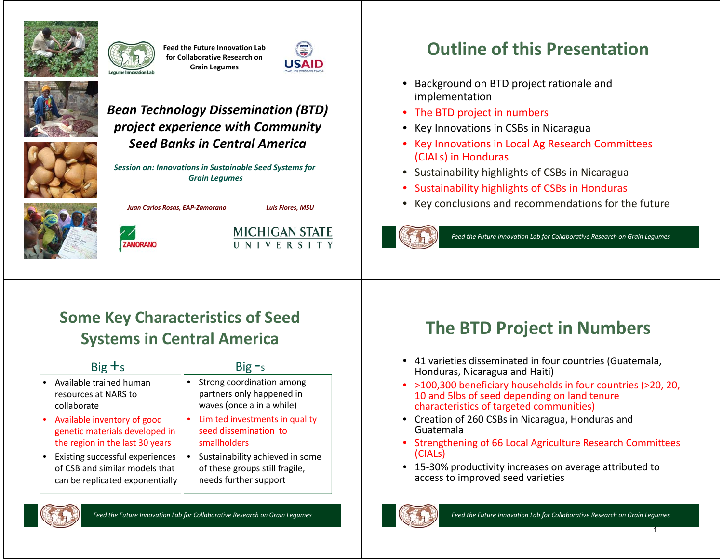

**Feed the Future Innovation Lab for Collaborative Research on Grain Legumes**





#### *Bean Technology Dissemination (BTD) project experience with Community Seed Banks in Central America*

*Session on: Innovations in Sustainable Seed Systems for Grain Legumes*



*Juan Carlos Rosas, EAP-Zamorano Luis Flores, MSU*





# **Outline of this Presentation**

- Background on BTD project rationale and implementation
- The BTD project in numbers
- •Key Innovations in CSBs in Nicaragua
- • Key Innovations in Local Ag Research Committees (CIALs) in Honduras
- Sustainability highlights of CSBs in Nicaragua
- •Sustainability highlights of CSBs in Honduras
- Key conclusions and recommendations for the future



*Feed the Future Innovation Lab for Collaborative Research on Grain Legumes*

# **Some Key Characteristics of Seed Systems in Central America**

| $Big +s$                                                                                             |   | $Big - s$                                                                                  |
|------------------------------------------------------------------------------------------------------|---|--------------------------------------------------------------------------------------------|
| Available trained human<br>resources at NARS to<br>collaborate                                       |   | Strong coordination among<br>partners only happened in<br>waves (once a in a while)        |
| Available inventory of good<br>genetic materials developed in<br>the region in the last 30 years     | ٠ | Limited investments in quality<br>seed dissemination to<br>smallholders                    |
| Existing successful experiences<br>of CSB and similar models that<br>can be replicated exponentially |   | Sustainability achieved in some<br>of these groups still fragile,<br>needs further support |

## **The BTD Project in Numbers**

- 41 varieties disseminated in four countries (Guatemala, Honduras, Nicaragua and Haiti)
- >100,300 beneficiary households in four countries (>20, 20, 10 and 5lbs of seed depending on land tenure characteristics of targeted communities)
- Creation of 260 CSBs in Nicaragua, Honduras and Guatemala
- Strengthening of 66 Local Agriculture Research Committees (CIALs)
- 15-30% productivity increases on average attributed to access to improved seed varieties



1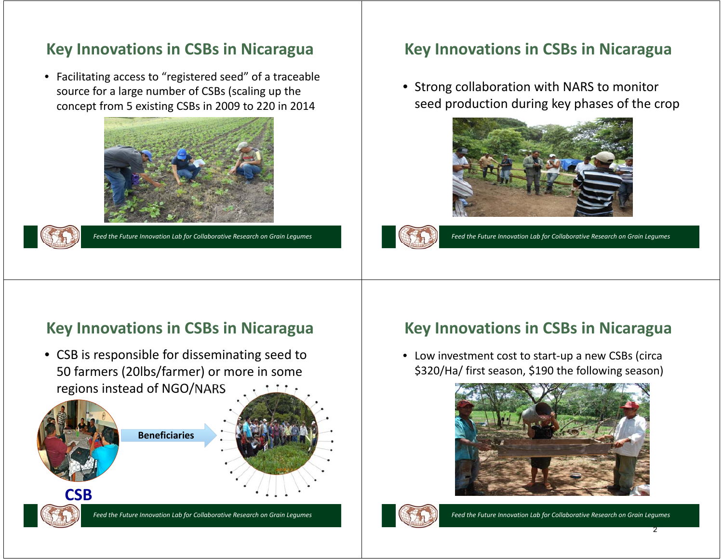### **Key Innovations in CSBs in Nicaragua**

• Facilitating access to "registered seed" of a traceable source for a large number of CSBs (scaling up the concept from 5 existing CSBs in 2009 to 220 in 2014





*Feed the Future Innovation Lab for Collaborative Research on Grain Legumes*

### **Key Innovations in CSBs in Nicaragua**

• Strong collaboration with NARS to monitor seed production during key phases of the crop





*Feed the Future Innovation Lab for Collaborative Research on Grain Legumes*

#### **Key Innovations in CSBs in Nicaragua**

• CSB is responsible for disseminating seed to 50 farmers (20lbs/farmer) or more in some regions instead of NGO/NARS



*Feed the Future Innovation Lab for Collaborative Research on Grain Legumes*

#### **Key Innovations in CSBs in Nicaragua**

• Low investment cost to start-up a new CSBs (circa \$320/Ha/ first season, \$190 the following season)





*Feed the Future Innovation Lab for Collaborative Research on Grain Legumes*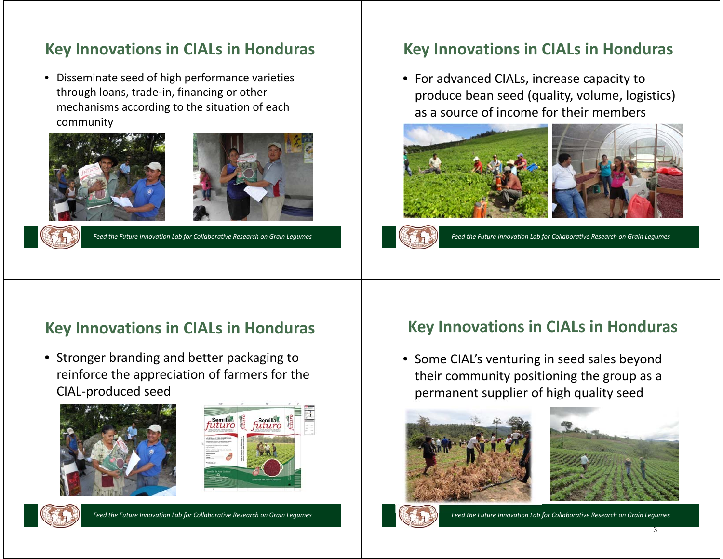### **Key Innovations in CIALs in Honduras**

• Disseminate seed of high performance varieties through loans, trade-in, financing or other mechanisms according to the situation of each community





*Feed the Future Innovation Lab for Collaborative Research on Grain Legumes*

### **Key Innovations in CIALs in Honduras**

• For advanced CIALs, increase capacity to produce bean seed (quality, volume, logistics) as a source of income for their members





*Feed the Future Innovation Lab for Collaborative Research on Grain Legumes*

### **Key Innovations in CIALs in Honduras**

• Stronger branding and better packaging to reinforce the appreciation of farmers for the CIAL-produced seed





*Feed the Future Innovation Lab for Collaborative Research on Grain Legumes*

#### **Key Innovations in CIALs in Honduras**

• Some CIAL's venturing in seed sales beyond their community positioning the group as a permanent supplier of high quality seed







*Feed the Future Innovation Lab for Collaborative Research on Grain Legumes*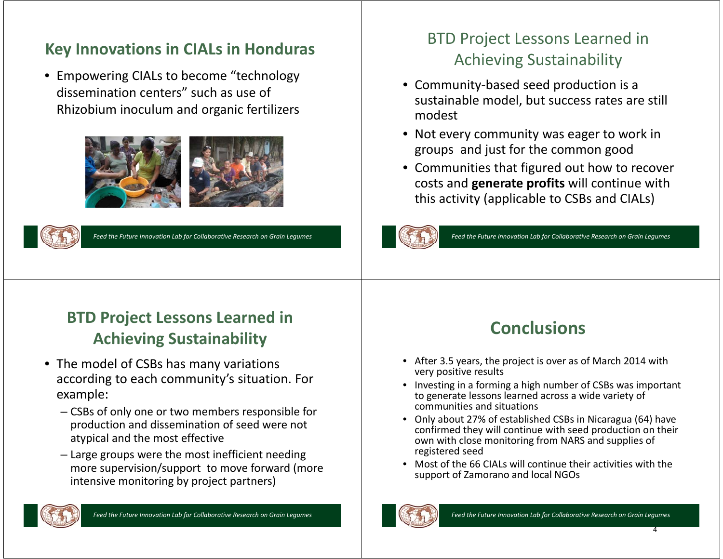### **Key Innovations in CIALs in Honduras**

• Empowering CIALs to become "technology dissemination centers" such as use of Rhizobium inoculum and organic fertilizers





*Feed the Future Innovation Lab for Collaborative Research on Grain Legumes*

## BTD Project Lessons Learned in Achieving Sustainability

- Community-based seed production is a sustainable model, but success rates are still modest
- Not every community was eager to work in groups and just for the common good
- Communities that figured out how to recover costs and **generate profits** will continue with this activity (applicable to CSBs and CIALs)



*Feed the Future Innovation Lab for Collaborative Research on Grain Legumes*

# **BTD Project Lessons Learned in Achieving Sustainability**

- The model of CSBs has many variations according to each community's situation. For example:
	- CSBs of only one or two members responsible for production and dissemination of seed were not atypical and the most effective
	- Large groups were the most inefficient needing more supervision/support to move forward (more intensive monitoring by project partners)



# **Conclusions**

- • After 3.5 years, the project is over as of March 2014 with very positive results
- Investing in a forming a high number of CSBs was important to generate lessons learned across a wide variety of communities and situations
- Only about 27% of established CSBs in Nicaragua (64) have confirmed they will continue with seed production on their own with close monitoring from NARS and supplies of registered seed
- • Most of the 66 CIALs will continue their activities with the support of Zamorano and local NGOs